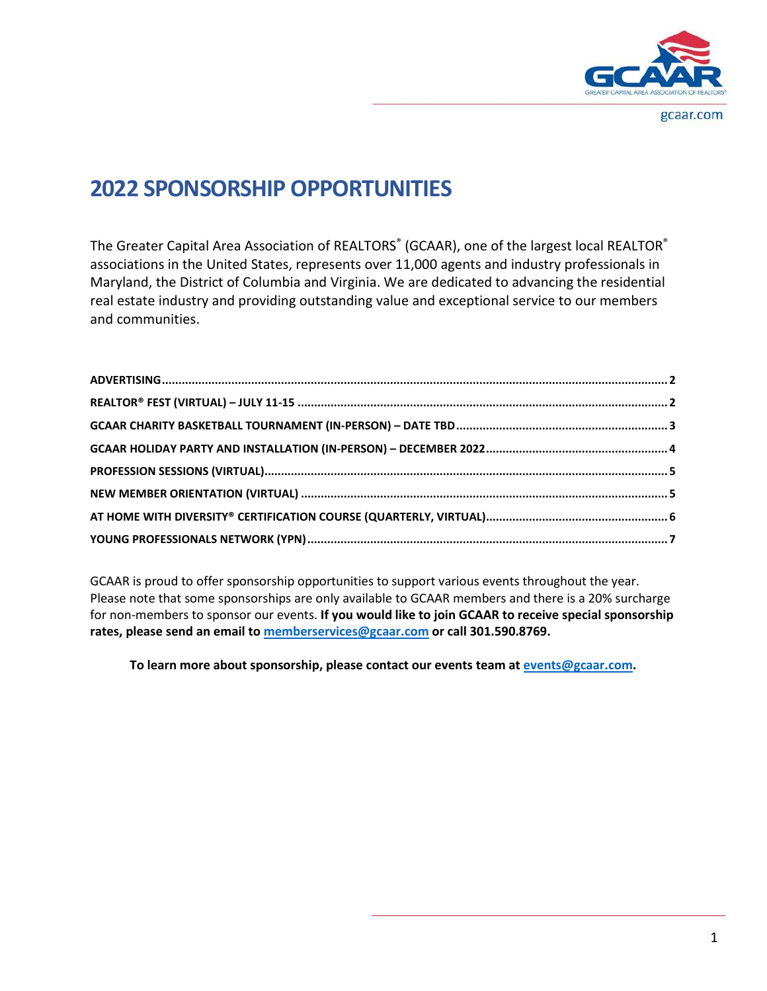

# **2022 SPONSORSHIP OPPORTUNITIES**

The Greater Capital Area Association of REALTORS® (GCAAR), one of the largest local REALTOR® associations in the United States, represents over 11,000 agents and industry professionals in Maryland, the District of Columbia and Virginia. We are dedicated to advancing the residential real estate industry and providing outstanding value and exceptional service to our members and communities.

GCAAR is proud to offer sponsorship opportunities to support various events throughout the year. Please note that some sponsorships are only available to GCAAR members and there is a 20% surcharge for non-members to sponsor our events. **If you would like to join GCAAR to receive special sponsorship rates, please send an email t[o memberservices@gcaar.com](mailto:memberservices@gcaar.com) or call 301.590.8769.** 

**To learn more about sponsorship, please contact our events team at [events@gcaar.com.](mailto:events@gcaar.com)**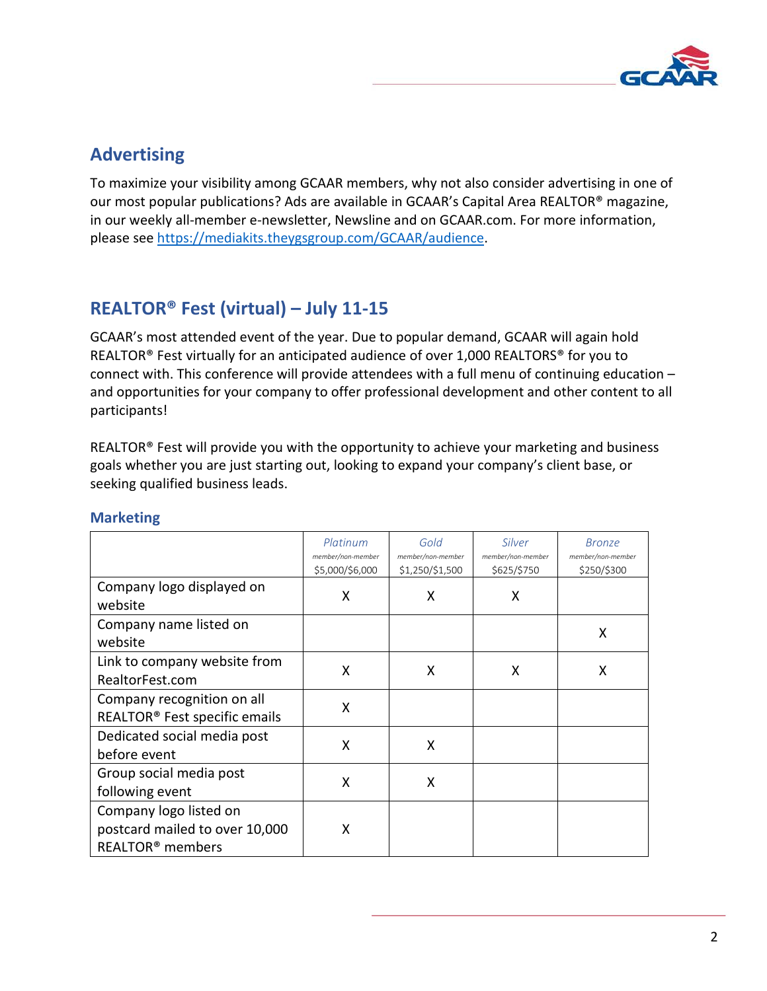

## <span id="page-1-0"></span>**Advertising**

To maximize your visibility among GCAAR members, why not also consider advertising in one of our most popular publications? Ads are available in GCAAR's Capital Area REALTOR® magazine, in our weekly all-member e-newsletter, Newsline and on GCAAR.com. For more information, please see [https://mediakits.theygsgroup.com/GCAAR/audience.](https://mediakits.theygsgroup.com/GCAAR/audience)

## <span id="page-1-1"></span>**REALTOR® Fest (virtual) – July 11-15**

GCAAR's most attended event of the year. Due to popular demand, GCAAR will again hold REALTOR<sup>®</sup> Fest virtually for an anticipated audience of over 1,000 REALTORS<sup>®</sup> for you to connect with. This conference will provide attendees with a full menu of continuing education – and opportunities for your company to offer professional development and other content to all participants!

REALTOR® Fest will provide you with the opportunity to achieve your marketing and business goals whether you are just starting out, looking to expand your company's client base, or seeking qualified business leads.

|                                                                                          | Platinum<br>member/non-member<br>\$5,000/\$6,000 | Gold<br>member/non-member<br>\$1,250/\$1,500 | Silver<br>member/non-member<br>\$625/\$750 | <b>Bronze</b><br>member/non-member<br>\$250/\$300 |
|------------------------------------------------------------------------------------------|--------------------------------------------------|----------------------------------------------|--------------------------------------------|---------------------------------------------------|
| Company logo displayed on<br>website                                                     | X                                                | X                                            | X                                          |                                                   |
| Company name listed on<br>website                                                        |                                                  |                                              |                                            | X                                                 |
| Link to company website from<br>RealtorFest.com                                          | X                                                | X                                            | X                                          | X                                                 |
| Company recognition on all<br>REALTOR <sup>®</sup> Fest specific emails                  | X                                                |                                              |                                            |                                                   |
| Dedicated social media post<br>before event                                              | X                                                | X                                            |                                            |                                                   |
| Group social media post<br>following event                                               | X                                                | X                                            |                                            |                                                   |
| Company logo listed on<br>postcard mailed to over 10,000<br>REALTOR <sup>®</sup> members | X                                                |                                              |                                            |                                                   |

## **Marketing**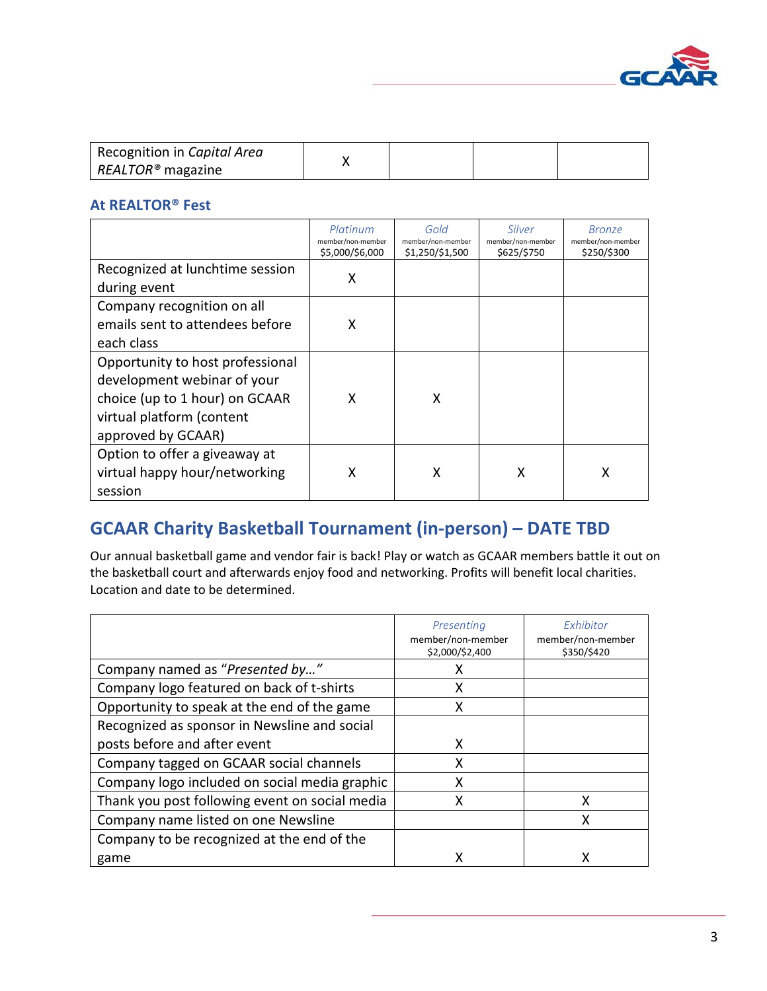

| Recognition in Capital Area   |  |  |
|-------------------------------|--|--|
| REALTOR <sup>®</sup> magazine |  |  |

## **At REALTOR® Fest**

|                                  | Platinum<br>member/non-member<br>\$5,000/\$6,000 | Gold<br>member/non-member<br>\$1,250/\$1,500 | Silver<br>member/non-member<br>\$625/\$750 | <b>Bronze</b><br>member/non-member<br>\$250/\$300 |
|----------------------------------|--------------------------------------------------|----------------------------------------------|--------------------------------------------|---------------------------------------------------|
| Recognized at lunchtime session  | X                                                |                                              |                                            |                                                   |
| during event                     |                                                  |                                              |                                            |                                                   |
| Company recognition on all       |                                                  |                                              |                                            |                                                   |
| emails sent to attendees before  | X                                                |                                              |                                            |                                                   |
| each class                       |                                                  |                                              |                                            |                                                   |
| Opportunity to host professional |                                                  |                                              |                                            |                                                   |
| development webinar of your      |                                                  |                                              |                                            |                                                   |
| choice (up to 1 hour) on GCAAR   | x                                                | X                                            |                                            |                                                   |
| virtual platform (content        |                                                  |                                              |                                            |                                                   |
| approved by GCAAR)               |                                                  |                                              |                                            |                                                   |
| Option to offer a giveaway at    |                                                  |                                              |                                            |                                                   |
| virtual happy hour/networking    | X                                                | Χ                                            | Χ                                          | Χ                                                 |
| session                          |                                                  |                                              |                                            |                                                   |

## <span id="page-2-0"></span>**GCAAR Charity Basketball Tournament (in-person) – DATE TBD**

Our annual basketball game and vendor fair is back! Play or watch as GCAAR members battle it out on the basketball court and afterwards enjoy food and networking. Profits will benefit local charities. Location and date to be determined.

|                                                | Presenting<br>member/non-member<br>\$2,000/\$2,400 | Exhibitor<br>member/non-member<br>\$350/\$420 |
|------------------------------------------------|----------------------------------------------------|-----------------------------------------------|
| Company named as "Presented by"                | x                                                  |                                               |
| Company logo featured on back of t-shirts      | x                                                  |                                               |
| Opportunity to speak at the end of the game    | x                                                  |                                               |
| Recognized as sponsor in Newsline and social   |                                                    |                                               |
| posts before and after event                   | x                                                  |                                               |
| Company tagged on GCAAR social channels        | x                                                  |                                               |
| Company logo included on social media graphic  | x                                                  |                                               |
| Thank you post following event on social media |                                                    | x                                             |
| Company name listed on one Newsline            |                                                    | x                                             |
| Company to be recognized at the end of the     |                                                    |                                               |
| game                                           |                                                    |                                               |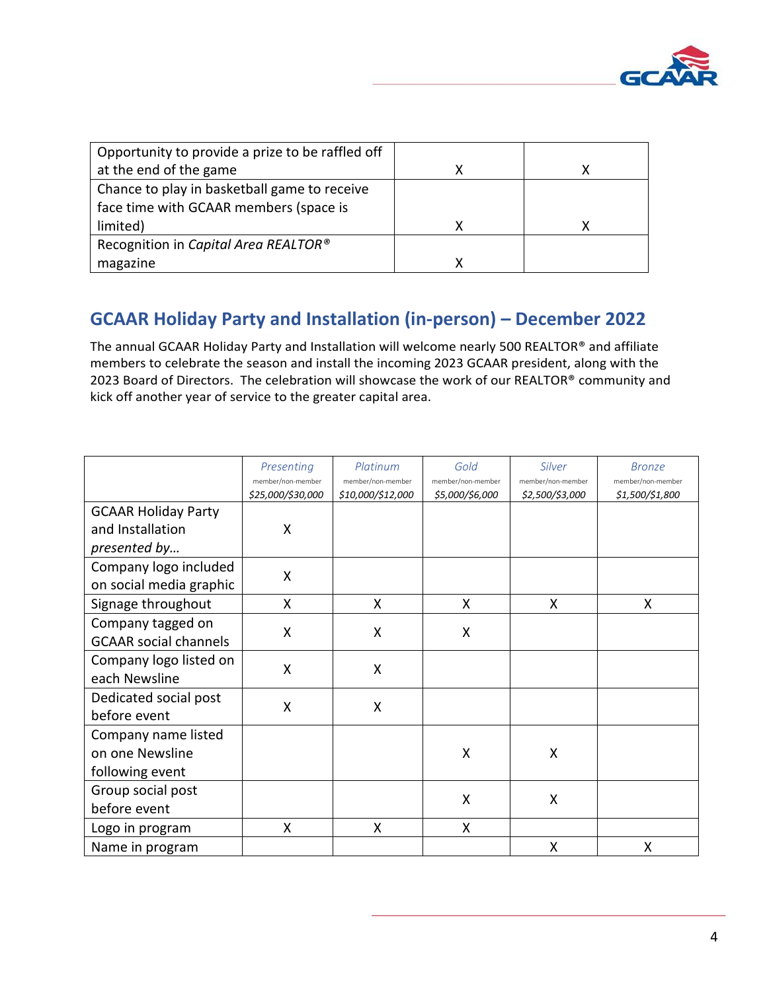

| Opportunity to provide a prize to be raffled off |   |
|--------------------------------------------------|---|
| at the end of the game                           | x |
| Chance to play in basketball game to receive     |   |
| face time with GCAAR members (space is           |   |
| limited)                                         |   |
| Recognition in Capital Area REALTOR®             |   |
| magazine                                         |   |

## <span id="page-3-0"></span>**GCAAR Holiday Party and Installation (in-person) – December 2022**

The annual GCAAR Holiday Party and Installation will welcome nearly 500 REALTOR® and affiliate members to celebrate the season and install the incoming 2023 GCAAR president, along with the 2023 Board of Directors. The celebration will showcase the work of our REALTOR® community and kick off another year of service to the greater capital area.

|                              | Presenting<br>member/non-member | Platinum<br>member/non-member | Gold<br>member/non-member | Silver<br>member/non-member | <b>Bronze</b><br>member/non-member |
|------------------------------|---------------------------------|-------------------------------|---------------------------|-----------------------------|------------------------------------|
|                              | \$25,000/\$30,000               | \$10,000/\$12,000             | \$5,000/\$6,000           | \$2,500/\$3,000             | \$1,500/\$1,800                    |
| <b>GCAAR Holiday Party</b>   |                                 |                               |                           |                             |                                    |
| and Installation             | X                               |                               |                           |                             |                                    |
| presented by                 |                                 |                               |                           |                             |                                    |
| Company logo included        | $\boldsymbol{\mathsf{X}}$       |                               |                           |                             |                                    |
| on social media graphic      |                                 |                               |                           |                             |                                    |
| Signage throughout           | X                               | X                             | X                         | X                           | X                                  |
| Company tagged on            | X                               | X                             | $\sf X$                   |                             |                                    |
| <b>GCAAR social channels</b> |                                 |                               |                           |                             |                                    |
| Company logo listed on       | X                               | X                             |                           |                             |                                    |
| each Newsline                |                                 |                               |                           |                             |                                    |
| Dedicated social post        | X                               | X                             |                           |                             |                                    |
| before event                 |                                 |                               |                           |                             |                                    |
| Company name listed          |                                 |                               |                           |                             |                                    |
| on one Newsline              |                                 |                               | X                         | X                           |                                    |
| following event              |                                 |                               |                           |                             |                                    |
| Group social post            |                                 |                               | X                         | X                           |                                    |
| before event                 |                                 |                               |                           |                             |                                    |
| Logo in program              | X                               | X                             | X                         |                             |                                    |
| Name in program              |                                 |                               |                           | X                           | X                                  |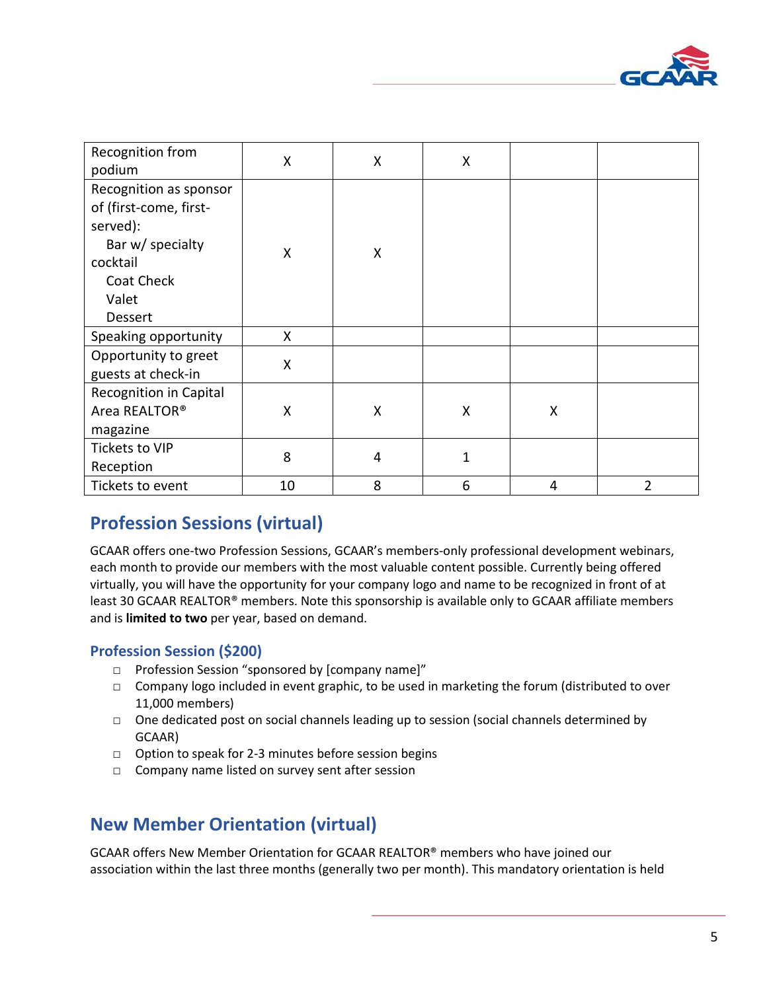

| Recognition from<br>podium                                                                                                     | X  | X | Χ            |   |                |
|--------------------------------------------------------------------------------------------------------------------------------|----|---|--------------|---|----------------|
| Recognition as sponsor<br>of (first-come, first-<br>served):<br>Bar w/ specialty<br>cocktail<br>Coat Check<br>Valet<br>Dessert | X  | Χ |              |   |                |
| Speaking opportunity                                                                                                           | X  |   |              |   |                |
| Opportunity to greet<br>guests at check-in                                                                                     | X  |   |              |   |                |
| Recognition in Capital<br>Area REALTOR®<br>magazine                                                                            | X  | X | Χ            | X |                |
| Tickets to VIP<br>Reception                                                                                                    | 8  | 4 | $\mathbf{1}$ |   |                |
| Tickets to event                                                                                                               | 10 | 8 | 6            | 4 | $\overline{2}$ |

## <span id="page-4-0"></span>**Profession Sessions (virtual)**

GCAAR offers one-two Profession Sessions, GCAAR's members-only professional development webinars, each month to provide our members with the most valuable content possible. Currently being offered virtually, you will have the opportunity for your company logo and name to be recognized in front of at least 30 GCAAR REALTOR® members. Note this sponsorship is available only to GCAAR affiliate members and is **limited to two** per year, based on demand.

## **Profession Session (\$200)**

- □ Profession Session "sponsored by [company name]"
- □ Company logo included in event graphic, to be used in marketing the forum (distributed to over 11,000 members)
- $\Box$  One dedicated post on social channels leading up to session (social channels determined by GCAAR)
- □ Option to speak for 2-3 minutes before session begins
- □ Company name listed on survey sent after session

## <span id="page-4-1"></span>**New Member Orientation (virtual)**

GCAAR offers New Member Orientation for GCAAR REALTOR® members who have joined our association within the last three months (generally two per month). This mandatory orientation is held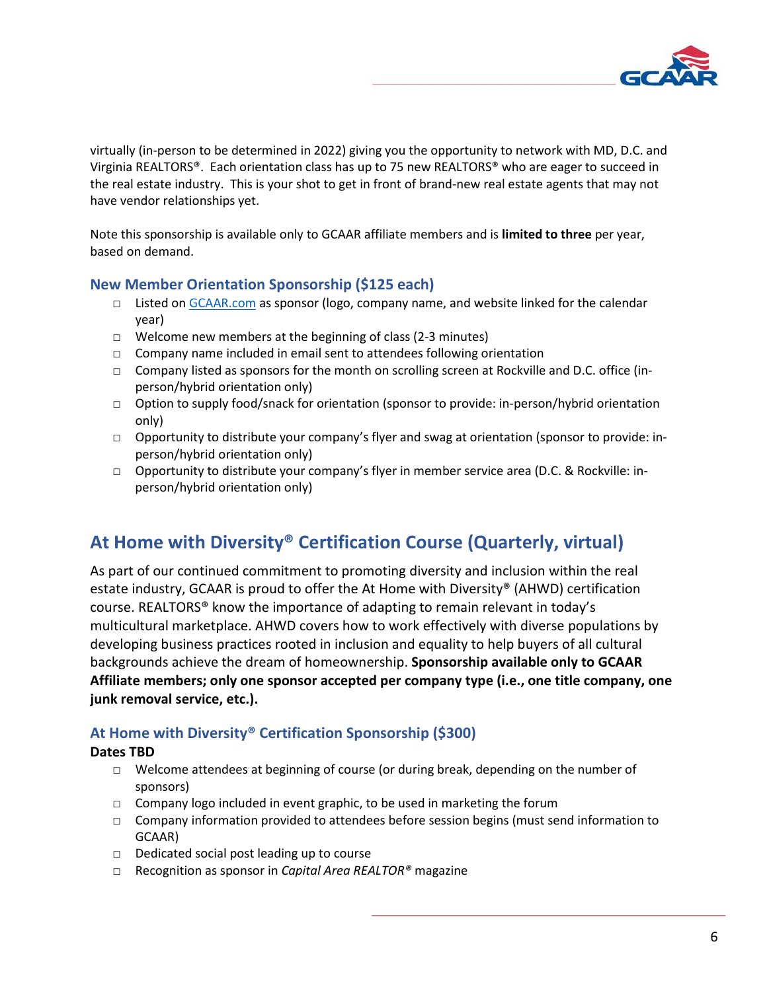

virtually (in-person to be determined in 2022) giving you the opportunity to network with MD, D.C. and Virginia REALTORS®. Each orientation class has up to 75 new REALTORS® who are eager to succeed in the real estate industry. This is your shot to get in front of brand-new real estate agents that may not have vendor relationships yet.

Note this sponsorship is available only to GCAAR affiliate members and is **limited to three** per year, based on demand.

## **New Member Orientation Sponsorship (\$125 each)**

- □ Listed on [GCAAR.com](https://gcaar.com/education-events/new-member-orientation) as sponsor (logo, company name, and website linked for the calendar year)
- □ Welcome new members at the beginning of class (2-3 minutes)
- □ Company name included in email sent to attendees following orientation
- □ Company listed as sponsors for the month on scrolling screen at Rockville and D.C. office (inperson/hybrid orientation only)
- □ Option to supply food/snack for orientation (sponsor to provide: in-person/hybrid orientation only)
- □ Opportunity to distribute your company's flyer and swag at orientation (sponsor to provide: inperson/hybrid orientation only)
- □ Opportunity to distribute your company's flyer in member service area (D.C. & Rockville: inperson/hybrid orientation only)

## <span id="page-5-0"></span>**At Home with Diversity® Certification Course (Quarterly, virtual)**

As part of our continued commitment to promoting diversity and inclusion within the real estate industry, GCAAR is proud to offer the At Home with Diversity® (AHWD) certification course. REALTORS® know the importance of adapting to remain relevant in today's multicultural marketplace. AHWD covers how to work effectively with diverse populations by developing business practices rooted in inclusion and equality to help buyers of all cultural backgrounds achieve the dream of homeownership. **Sponsorship available only to GCAAR Affiliate members; only one sponsor accepted per company type (i.e., one title company, one junk removal service, etc.).** 

## **At Home with Diversity® Certification Sponsorship (\$300)**

## **Dates TBD**

- □ Welcome attendees at beginning of course (or during break, depending on the number of sponsors)
- □ Company logo included in event graphic, to be used in marketing the forum
- □ Company information provided to attendees before session begins (must send information to GCAAR)
- □ Dedicated social post leading up to course
- □ Recognition as sponsor in *Capital Area REALTOR®* magazine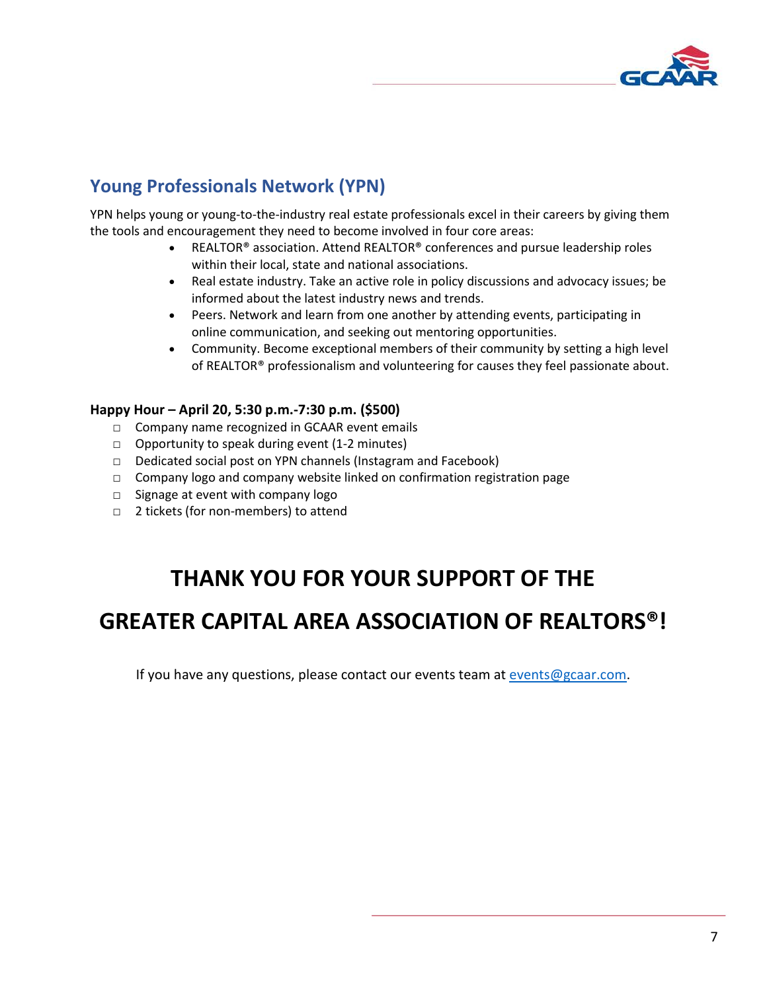

## <span id="page-6-0"></span>**Young Professionals Network (YPN)**

YPN helps young or young-to-the-industry real estate professionals excel in their careers by giving them the tools and encouragement they need to become involved in four core areas:

- REALTOR® association. Attend REALTOR® conferences and pursue leadership roles within their local, state and national associations.
- Real estate industry. Take an active role in policy discussions and advocacy issues; be informed about the latest industry news and trends.
- Peers. Network and learn from one another by attending events, participating in online communication, and seeking out mentoring opportunities.
- Community. Become exceptional members of their community by setting a high level of REALTOR® professionalism and volunteering for causes they feel passionate about.

## **Happy Hour – April 20, 5:30 p.m.-7:30 p.m. (\$500)**

- □ Company name recognized in GCAAR event emails
- □ Opportunity to speak during event (1-2 minutes)
- □ Dedicated social post on YPN channels (Instagram and Facebook)
- $\Box$  Company logo and company website linked on confirmation registration page
- □ Signage at event with company logo
- □ 2 tickets (for non-members) to attend

# **THANK YOU FOR YOUR SUPPORT OF THE**

# **GREATER CAPITAL AREA ASSOCIATION OF REALTORS®!**

If you have any questions, please contact our events team at [events@gcaar.com.](mailto:events@gcaar.com)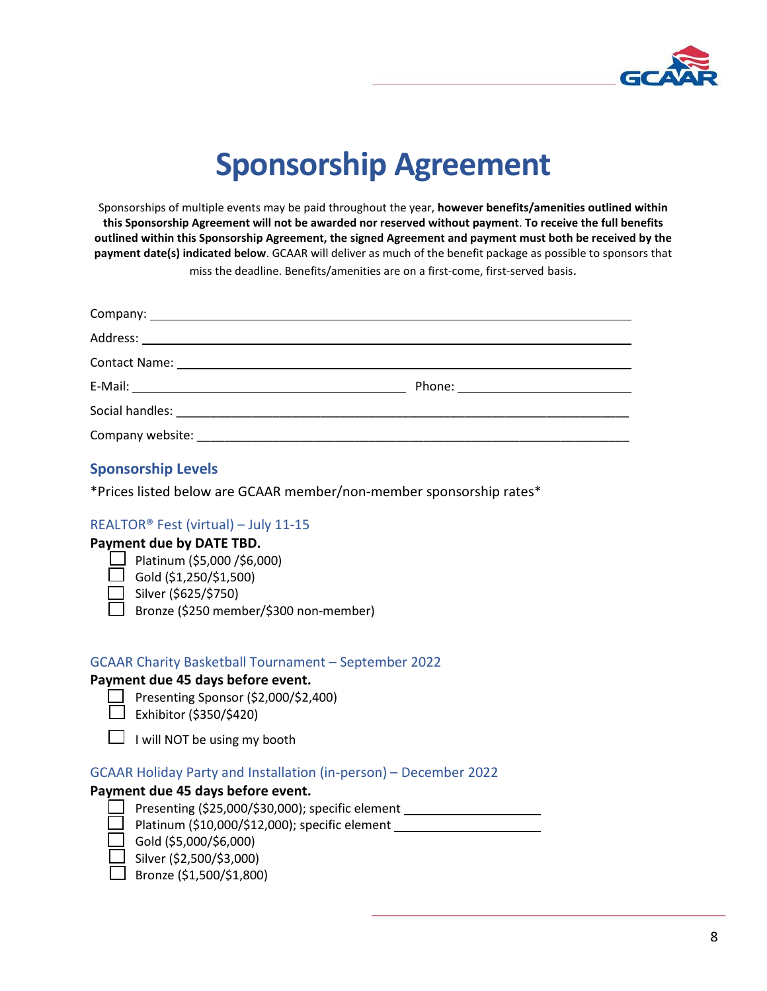

# **Sponsorship Agreement**

Sponsorships of multiple events may be paid throughout the year, **however benefits/amenities outlined within this Sponsorship Agreement will not be awarded nor reserved without payment**. **To receive the full benefits outlined within this Sponsorship Agreement, the signed Agreement and payment must both be received by the payment date(s) indicated below**. GCAAR will deliver as much of the benefit package as possible to sponsors that miss the deadline. Benefits/amenities are on a first-come, first-served basis.

## **Sponsorship Levels**

\*Prices listed below are GCAAR member/non-member sponsorship rates\*

## REALTOR® Fest (virtual) – July 11-15

## **Payment due by DATE TBD.**

- $\Box$  Platinum (\$5,000 /\$6,000)
	- $\sqrt{2}$  Gold (\$1,250/\$1,500)
- □ Silver (\$625/\$750)
- □ Bronze (\$250 member/\$300 non-member)

### GCAAR Charity Basketball Tournament – September 2022

### **Payment due 45 days before event.**

- $\Box$  Presenting Sponsor (\$2,000/\$2,400)
- $\Box$  Exhibitor (\$350/\$420)
- $\Box$  I will NOT be using my booth

## GCAAR Holiday Party and Installation (in-person) – December 2022

### **Payment due 45 days before event.**

Presenting (\$25,000/\$30,000); specific element Platinum (\$10,000/\$12,000); specific element

- □ Gold (\$5,000/\$6,000)
	- □ Silver (\$2,500/\$3,000)
- □ Bronze (\$1,500/\$1,800)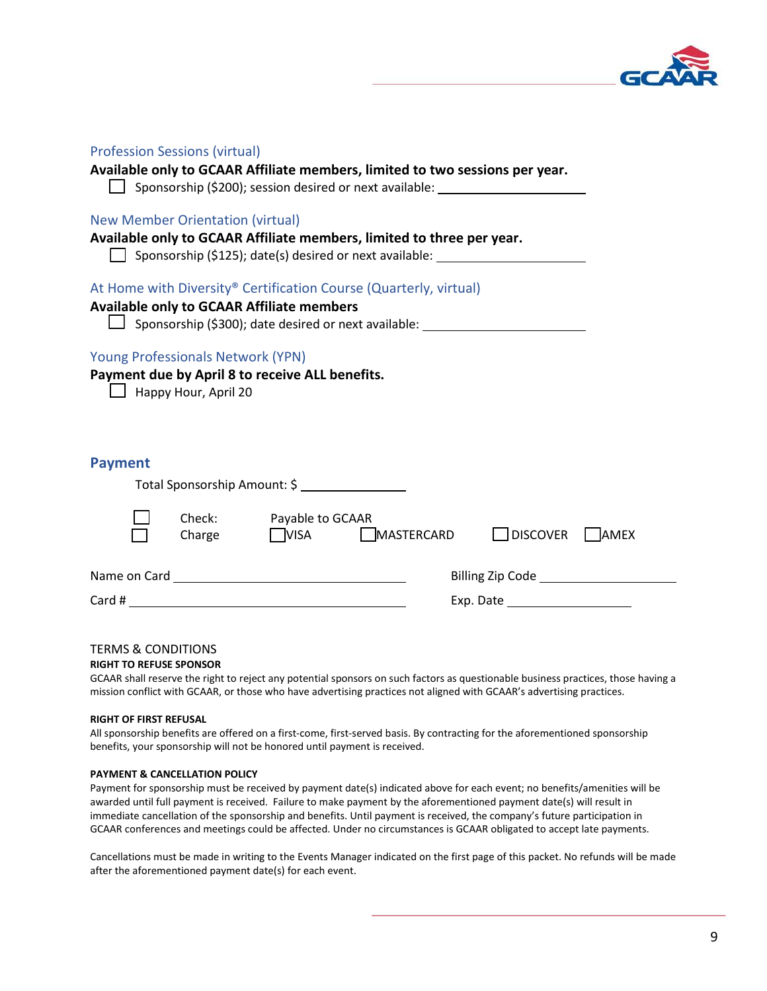

| <b>Profession Sessions (virtual)</b>                                                                                                                                                                       |                                              |  |
|------------------------------------------------------------------------------------------------------------------------------------------------------------------------------------------------------------|----------------------------------------------|--|
| Available only to GCAAR Affiliate members, limited to two sessions per year.<br>Sponsorship (\$200); session desired or next available: _________________________                                          |                                              |  |
| <b>New Member Orientation (virtual)</b><br>Available only to GCAAR Affiliate members, limited to three per year.                                                                                           |                                              |  |
| Sponsorship (\$125); date(s) desired or next available: _________________________                                                                                                                          |                                              |  |
| At Home with Diversity® Certification Course (Quarterly, virtual)<br><b>Available only to GCAAR Affiliate members</b><br>Sponsorship (\$300); date desired or next available: ____________________________ |                                              |  |
| <b>Young Professionals Network (YPN)</b><br>Payment due by April 8 to receive ALL benefits.<br>$\Box$ Happy Hour, April 20                                                                                 |                                              |  |
| <b>Payment</b>                                                                                                                                                                                             |                                              |  |
| Total Sponsorship Amount: \$                                                                                                                                                                               |                                              |  |
| Check: Payable to GCAAR<br>$Change$ $VISA$                                                                                                                                                                 | MASTERCARD<br>$\bigsqcup$ discover<br>  AMEX |  |
|                                                                                                                                                                                                            |                                              |  |
|                                                                                                                                                                                                            | Exp. Date                                    |  |
|                                                                                                                                                                                                            |                                              |  |
| <b>TERMS &amp; CONDITIONS</b>                                                                                                                                                                              |                                              |  |

### **RIGHT TO REFUSE SPONSOR**

GCAAR shall reserve the right to reject any potential sponsors on such factors as questionable business practices, those having a mission conflict with GCAAR, or those who have advertising practices not aligned with GCAAR's advertising practices.

### **RIGHT OF FIRST REFUSAL**

All sponsorship benefits are offered on a first-come, first-served basis. By contracting for the aforementioned sponsorship benefits, your sponsorship will not be honored until payment is received.

### **PAYMENT & CANCELLATION POLICY**

Payment for sponsorship must be received by payment date(s) indicated above for each event; no benefits/amenities will be awarded until full payment is received. Failure to make payment by the aforementioned payment date(s) will result in immediate cancellation of the sponsorship and benefits. Until payment is received, the company's future participation in GCAAR conferences and meetings could be affected. Under no circumstances is GCAAR obligated to accept late payments.

Cancellations must be made in writing to the Events Manager indicated on the first page of this packet. No refunds will be made after the aforementioned payment date(s) for each event.